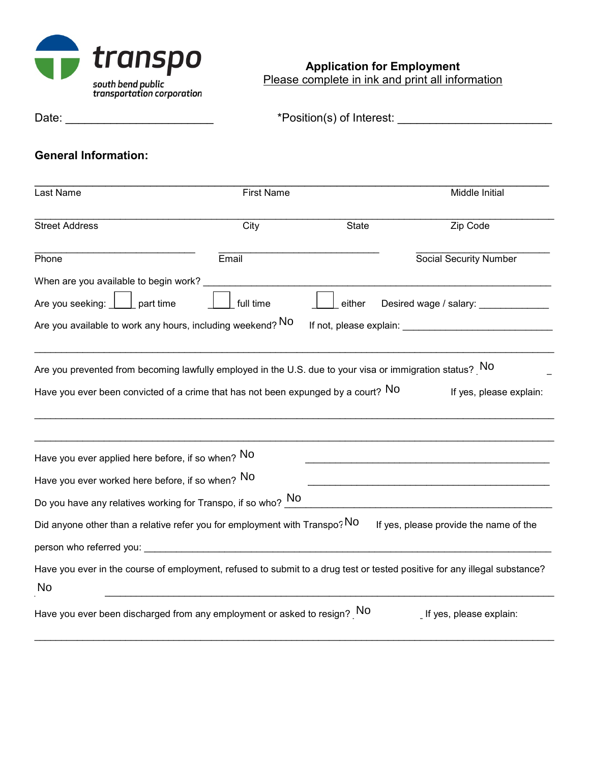

**Application for Employment** Please complete in ink and print all information

Date: \_\_\_\_\_\_\_\_\_\_\_\_\_\_\_\_\_\_\_\_\_\_\_ \*Position(s) of Interest: \_\_\_\_\_\_\_\_\_\_\_\_\_\_\_\_\_\_\_\_\_\_\_\_

# **General Information:**

| Last Name                                         | <b>First Name</b>                                                                                                                                                                             |        | Middle Initial                         |
|---------------------------------------------------|-----------------------------------------------------------------------------------------------------------------------------------------------------------------------------------------------|--------|----------------------------------------|
| <b>Street Address</b>                             | City                                                                                                                                                                                          | State  | Zip Code                               |
| Phone                                             | Email                                                                                                                                                                                         |        | <b>Social Security Number</b>          |
| When are you available to begin work?             |                                                                                                                                                                                               |        |                                        |
| Are you seeking:<br>part time                     | full time                                                                                                                                                                                     | either | Desired wage / salary:                 |
|                                                   | Are you available to work any hours, including weekend? NO                                                                                                                                    |        |                                        |
|                                                   | Are you prevented from becoming lawfully employed in the U.S. due to your visa or immigration status? No<br>Have you ever been convicted of a crime that has not been expunged by a court? NO |        | If yes, please explain:                |
| Have you ever applied here before, if so when? NO |                                                                                                                                                                                               |        |                                        |
| Have you ever worked here before, if so when? NO  |                                                                                                                                                                                               |        |                                        |
|                                                   | Do you have any relatives working for Transpo, if so who? $\overline{\phantom{a}}^{No}$                                                                                                       |        |                                        |
|                                                   | Did anyone other than a relative refer you for employment with Transpo? NO                                                                                                                    |        | If yes, please provide the name of the |
|                                                   |                                                                                                                                                                                               |        |                                        |
| <b>No</b>                                         | Have you ever in the course of employment, refused to submit to a drug test or tested positive for any illegal substance?                                                                     |        |                                        |
|                                                   | Have you ever been discharged from any employment or asked to resign? NO                                                                                                                      |        | If yes, please explain:                |

\_\_\_\_\_\_\_\_\_\_\_\_\_\_\_\_\_\_\_\_\_\_\_\_\_\_\_\_\_\_\_\_\_\_\_\_\_\_\_\_\_\_\_\_\_\_\_\_\_\_\_\_\_\_\_\_\_\_\_\_\_\_\_\_\_\_\_\_\_\_\_\_\_\_\_\_\_\_\_\_\_\_\_\_\_\_\_\_\_\_\_\_\_\_\_\_\_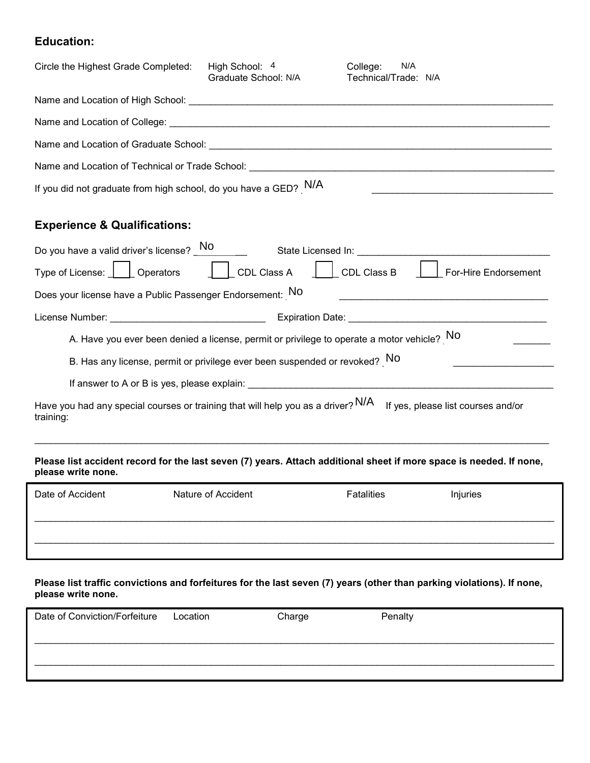### **Education:**

| Circle the Highest Grade Completed:                                | High School: 4<br>Graduate School: N/A                                                                                                                                                                                         | N/A<br>College:<br>Technical/Trade: N/A |  |  |
|--------------------------------------------------------------------|--------------------------------------------------------------------------------------------------------------------------------------------------------------------------------------------------------------------------------|-----------------------------------------|--|--|
| Name and Location of High School:                                  |                                                                                                                                                                                                                                |                                         |  |  |
|                                                                    | Name and Location of College: Name of the state of the state of the state of the state of the state of the state of the state of the state of the state of the state of the state of the state of the state of the state of th |                                         |  |  |
| Name and Location of Graduate School:                              |                                                                                                                                                                                                                                |                                         |  |  |
| Name and Location of Technical or Trade School:                    |                                                                                                                                                                                                                                |                                         |  |  |
| If you did not graduate from high school, do you have a GED? $N/A$ |                                                                                                                                                                                                                                |                                         |  |  |

# **Experience & Qualifications:**

| Do you have a valid driver's license? No<br>State Licensed In:                                                                                                                                                                                     |
|----------------------------------------------------------------------------------------------------------------------------------------------------------------------------------------------------------------------------------------------------|
| Type of License: L<br>Operators<br>CDL Class A<br>CDL Class B<br>For-Hire Endorsement                                                                                                                                                              |
| Does your license have a Public Passenger Endorsement: NO                                                                                                                                                                                          |
| License Number: Web and the contract of the contract of the contract of the contract of the contract of the contract of the contract of the contract of the contract of the contract of the contract of the contract of the co<br>Expiration Date: |
| A. Have you ever been denied a license, permit or privilege to operate a motor vehicle? $No$                                                                                                                                                       |
| B. Has any license, permit or privilege ever been suspended or revoked? NO                                                                                                                                                                         |
| If answer to A or B is yes, please explain:                                                                                                                                                                                                        |
| Have you had any special courses or training that will help you as a driver? N/A<br>If yes, please list courses and/or<br>training:                                                                                                                |
|                                                                                                                                                                                                                                                    |

### **Please list accident record for the last seven (7) years. Attach additional sheet if more space is needed. If none, please write none.**

| Date of Accident | Nature of Accident | <b>Fatalities</b> | Injuries |
|------------------|--------------------|-------------------|----------|
|                  |                    |                   |          |

**Please list traffic convictions and forfeitures for the last seven (7) years (other than parking violations). If none, please write none.**

| Date of Conviction/Forfeiture | Location | Charge | Penalty |
|-------------------------------|----------|--------|---------|
|                               |          |        |         |
|                               |          |        |         |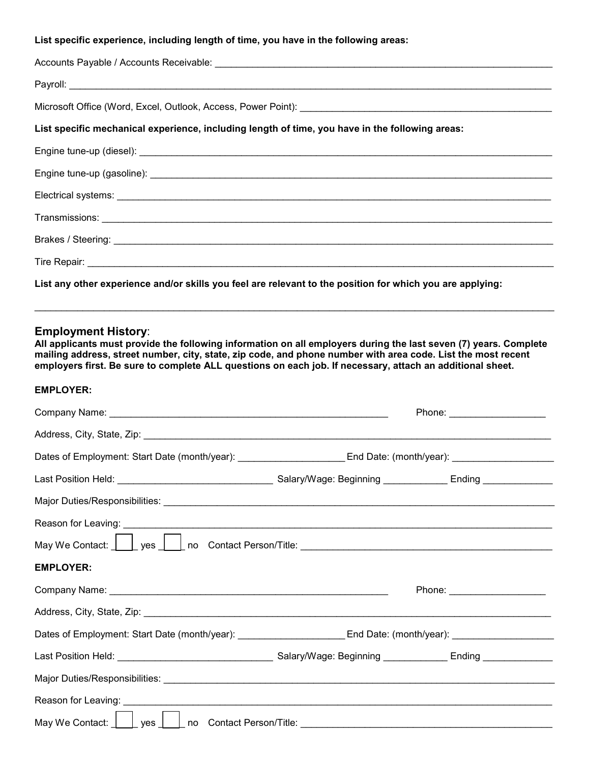### **List specific experience, including length of time, you have in the following areas:**

| Microsoft Office (Word, Excel, Outlook, Access, Power Point): [[11] Allen Microsoft Office (Word, Excel, Outlook, Access, Power Point): [[11] Allen Microsoft Office (Word, Excel, Outlook, Access, Power Point): [[11] Allen |
|-------------------------------------------------------------------------------------------------------------------------------------------------------------------------------------------------------------------------------|
| List specific mechanical experience, including length of time, you have in the following areas:                                                                                                                               |
|                                                                                                                                                                                                                               |
|                                                                                                                                                                                                                               |
|                                                                                                                                                                                                                               |
|                                                                                                                                                                                                                               |
|                                                                                                                                                                                                                               |
|                                                                                                                                                                                                                               |

**List any other experience and/or skills you feel are relevant to the position for which you are applying:**

### **Employment History**:

**All applicants must provide the following information on all employers during the last seven (7) years. Complete mailing address, street number, city, state, zip code, and phone number with area code. List the most recent employers first. Be sure to complete ALL questions on each job. If necessary, attach an additional sheet.**

\_\_\_\_\_\_\_\_\_\_\_\_\_\_\_\_\_\_\_\_\_\_\_\_\_\_\_\_\_\_\_\_\_\_\_\_\_\_\_\_\_\_\_\_\_\_\_\_\_\_\_\_\_\_\_\_\_\_\_\_\_\_\_\_\_\_\_\_\_\_\_\_\_\_\_\_\_\_\_\_\_\_\_\_\_\_\_\_\_\_\_\_\_\_\_\_\_

### **EMPLOYER:**

|                  | Phone: _______________________                                                                                                                                                                                                       |
|------------------|--------------------------------------------------------------------------------------------------------------------------------------------------------------------------------------------------------------------------------------|
|                  |                                                                                                                                                                                                                                      |
|                  | Dates of Employment: Start Date (month/year): _________________________End Date: (month/year): ____________________                                                                                                                  |
|                  |                                                                                                                                                                                                                                      |
|                  |                                                                                                                                                                                                                                      |
|                  |                                                                                                                                                                                                                                      |
|                  | May We Contact: <u>New Yors New York Contact Person/Title: New York Contact Person/Title: New York Contact: New York Contact Person/Title: New York Contact: New York Contact: New York Contact: New York Contact: New York Cont</u> |
| <b>EMPLOYER:</b> |                                                                                                                                                                                                                                      |
|                  | Phone: ______________________                                                                                                                                                                                                        |
|                  |                                                                                                                                                                                                                                      |
|                  | Dates of Employment: Start Date (month/year): ________________________End Date: (month/year): ________________                                                                                                                       |
|                  |                                                                                                                                                                                                                                      |
|                  |                                                                                                                                                                                                                                      |
|                  |                                                                                                                                                                                                                                      |
|                  |                                                                                                                                                                                                                                      |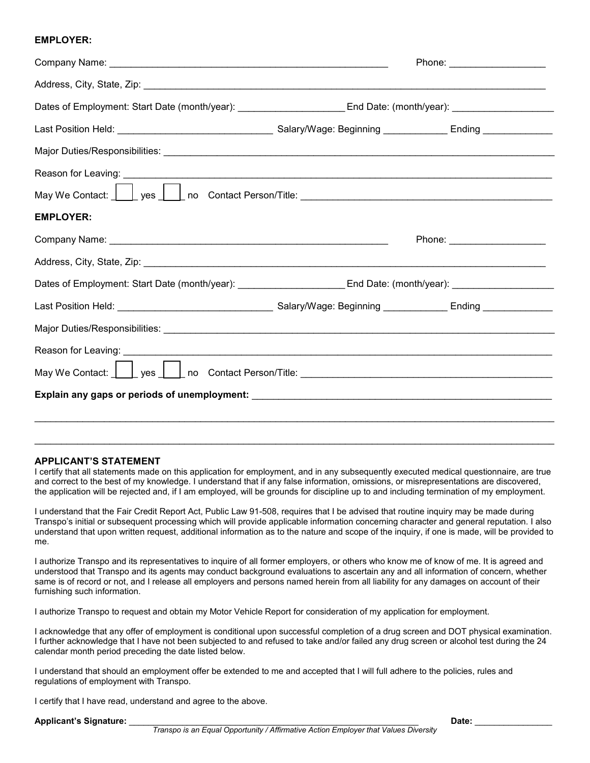#### **EMPLOYER:**

|                                                                                                                                                                                                                                      | Phone: ______________________ |
|--------------------------------------------------------------------------------------------------------------------------------------------------------------------------------------------------------------------------------------|-------------------------------|
|                                                                                                                                                                                                                                      |                               |
| Dates of Employment: Start Date (month/year): _________________________End Date: (month/year): ____________________                                                                                                                  |                               |
|                                                                                                                                                                                                                                      |                               |
|                                                                                                                                                                                                                                      |                               |
|                                                                                                                                                                                                                                      |                               |
| May We Contact: <u>New Yors New York Contact Person/Title: New York New York Contact: New York Online Contact Person/Title: New York New York Online Contact Person/Title: New York Online Contact New York Online Contact New Y</u> |                               |
| <b>EMPLOYER:</b>                                                                                                                                                                                                                     |                               |
|                                                                                                                                                                                                                                      |                               |
|                                                                                                                                                                                                                                      |                               |
| Dates of Employment: Start Date (month/year): _________________________End Date: (month/year): _______________                                                                                                                       |                               |
|                                                                                                                                                                                                                                      |                               |
|                                                                                                                                                                                                                                      |                               |
|                                                                                                                                                                                                                                      |                               |
|                                                                                                                                                                                                                                      |                               |
|                                                                                                                                                                                                                                      |                               |
|                                                                                                                                                                                                                                      |                               |

#### **APPLICANT'S STATEMENT**

I certify that all statements made on this application for employment, and in any subsequently executed medical questionnaire, are true and correct to the best of my knowledge. I understand that if any false information, omissions, or misrepresentations are discovered, the application will be rejected and, if I am employed, will be grounds for discipline up to and including termination of my employment.

\_\_\_\_\_\_\_\_\_\_\_\_\_\_\_\_\_\_\_\_\_\_\_\_\_\_\_\_\_\_\_\_\_\_\_\_\_\_\_\_\_\_\_\_\_\_\_\_\_\_\_\_\_\_\_\_\_\_\_\_\_\_\_\_\_\_\_\_\_\_\_\_\_\_\_\_\_\_\_\_\_\_\_\_\_\_\_\_\_\_\_\_\_\_\_\_\_

I understand that the Fair Credit Report Act, Public Law 91-508, requires that I be advised that routine inquiry may be made during Transpo's initial or subsequent processing which will provide applicable information concerning character and general reputation. I also understand that upon written request, additional information as to the nature and scope of the inquiry, if one is made, will be provided to me.

I authorize Transpo and its representatives to inquire of all former employers, or others who know me of know of me. It is agreed and understood that Transpo and its agents may conduct background evaluations to ascertain any and all information of concern, whether same is of record or not, and I release all employers and persons named herein from all liability for any damages on account of their furnishing such information.

I authorize Transpo to request and obtain my Motor Vehicle Report for consideration of my application for employment.

I acknowledge that any offer of employment is conditional upon successful completion of a drug screen and DOT physical examination. I further acknowledge that I have not been subjected to and refused to take and/or failed any drug screen or alcohol test during the 24 calendar month period preceding the date listed below.

I understand that should an employment offer be extended to me and accepted that I will full adhere to the policies, rules and regulations of employment with Transpo.

I certify that I have read, understand and agree to the above.

**Applicant's Signature:** \_\_\_\_\_\_\_\_\_\_\_\_\_\_\_\_\_\_\_\_\_\_\_\_\_\_\_\_\_\_\_\_\_\_\_\_\_\_\_\_\_\_\_\_\_\_\_\_\_\_\_\_\_\_\_\_\_\_\_\_ **Date:** \_\_\_\_\_\_\_\_\_\_\_\_\_\_\_\_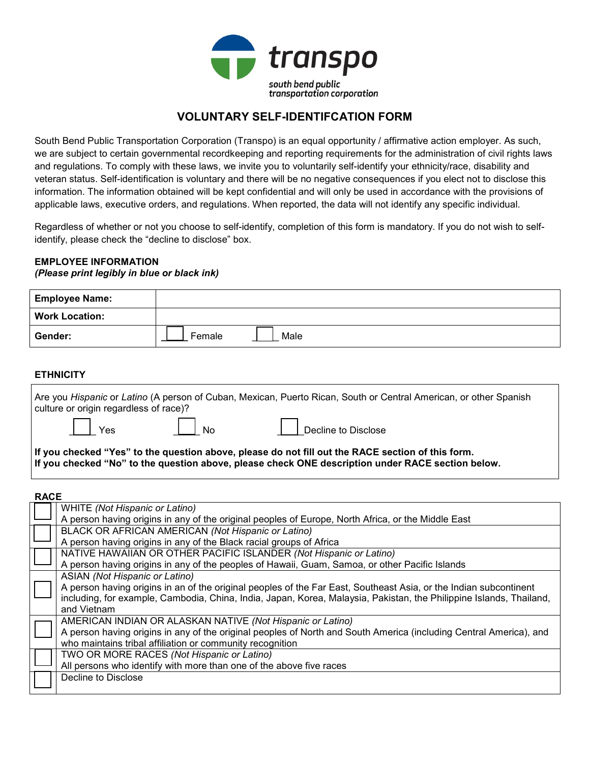

### **VOLUNTARY SELF-IDENTIFCATION FORM**

South Bend Public Transportation Corporation (Transpo) is an equal opportunity / affirmative action employer. As such, we are subject to certain governmental recordkeeping and reporting requirements for the administration of civil rights laws and regulations. To comply with these laws, we invite you to voluntarily self-identify your ethnicity/race, disability and veteran status. Self-identification is voluntary and there will be no negative consequences if you elect not to disclose this information. The information obtained will be kept confidential and will only be used in accordance with the provisions of applicable laws, executive orders, and regulations. When reported, the data will not identify any specific individual.

Regardless of whether or not you choose to self-identify, completion of this form is mandatory. If you do not wish to selfidentify, please check the "decline to disclose" box.

# **EMPLOYEE INFORMATION**

### *(Please print legibly in blue or black ink)*

| <b>Employee Name:</b> |                |
|-----------------------|----------------|
| <b>Work Location:</b> |                |
| Gender:               | Male<br>Female |

### **ETHNICITY**

| culture or origin regardless of race)?                                                                                                                                                                 |  | Are you Hispanic or Latino (A person of Cuban, Mexican, Puerto Rican, South or Central American, or other Spanish |
|--------------------------------------------------------------------------------------------------------------------------------------------------------------------------------------------------------|--|-------------------------------------------------------------------------------------------------------------------|
|                                                                                                                                                                                                        |  | Yes       No       Decline to Disclose                                                                            |
| If you checked "Yes" to the question above, please do not fill out the RACE section of this form.<br>If you checked "No" to the question above, please check ONE description under RACE section below. |  |                                                                                                                   |

#### **RACE**

| <b>WHITE</b> (Not Hispanic or Latino)                                                                               |
|---------------------------------------------------------------------------------------------------------------------|
| A person having origins in any of the original peoples of Europe, North Africa, or the Middle East                  |
| BLACK OR AFRICAN AMERICAN (Not Hispanic or Latino)                                                                  |
| A person having origins in any of the Black racial groups of Africa                                                 |
| NATIVE HAWAIIAN OR OTHER PACIFIC ISLANDER (Not Hispanic or Latino)                                                  |
| A person having origins in any of the peoples of Hawaii, Guam, Samoa, or other Pacific Islands                      |
| ASIAN (Not Hispanic or Latino)                                                                                      |
| A person having origins in an of the original peoples of the Far East, Southeast Asia, or the Indian subcontinent   |
| including, for example, Cambodia, China, India, Japan, Korea, Malaysia, Pakistan, the Philippine Islands, Thailand, |
| and Vietnam                                                                                                         |
| AMERICAN INDIAN OR ALASKAN NATIVE (Not Hispanic or Latino)                                                          |
| A person having origins in any of the original peoples of North and South America (including Central America), and  |
| who maintains tribal affiliation or community recognition                                                           |
| TWO OR MORE RACES (Not Hispanic or Latino)                                                                          |
| All persons who identify with more than one of the above five races                                                 |
| Decline to Disclose                                                                                                 |
|                                                                                                                     |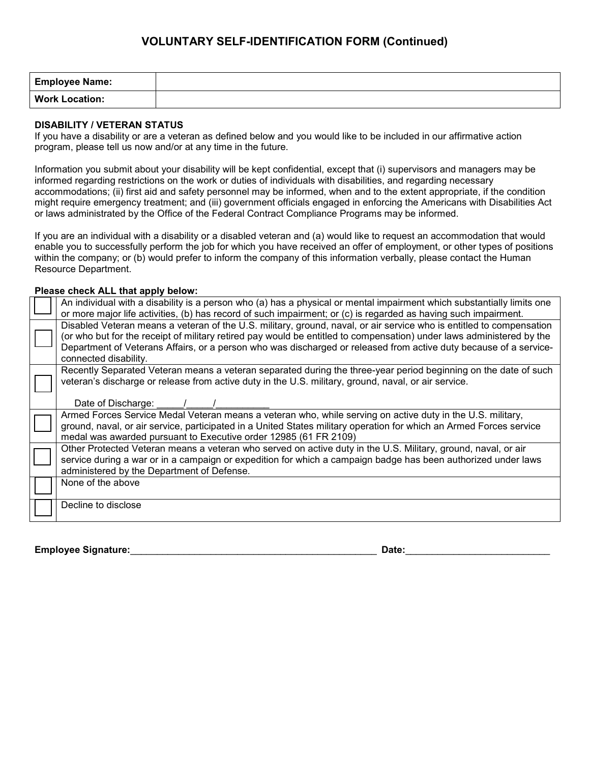## **VOLUNTARY SELF-IDENTIFICATION FORM (Continued)**

| <b>Employee Name:</b> |  |
|-----------------------|--|
| <b>Work Location:</b> |  |

#### **DISABILITY / VETERAN STATUS**

If you have a disability or are a veteran as defined below and you would like to be included in our affirmative action program, please tell us now and/or at any time in the future.

Information you submit about your disability will be kept confidential, except that (i) supervisors and managers may be informed regarding restrictions on the work or duties of individuals with disabilities, and regarding necessary accommodations; (ii) first aid and safety personnel may be informed, when and to the extent appropriate, if the condition might require emergency treatment; and (iii) government officials engaged in enforcing the Americans with Disabilities Act or laws administrated by the Office of the Federal Contract Compliance Programs may be informed.

If you are an individual with a disability or a disabled veteran and (a) would like to request an accommodation that would enable you to successfully perform the job for which you have received an offer of employment, or other types of positions within the company; or (b) would prefer to inform the company of this information verbally, please contact the Human Resource Department.

### **Please check ALL that apply below:**

| An individual with a disability is a person who (a) has a physical or mental impairment which substantially limits one<br>or more major life activities, (b) has record of such impairment; or (c) is regarded as having such impairment.                                                                                                                                                   |
|---------------------------------------------------------------------------------------------------------------------------------------------------------------------------------------------------------------------------------------------------------------------------------------------------------------------------------------------------------------------------------------------|
| Disabled Veteran means a veteran of the U.S. military, ground, naval, or air service who is entitled to compensation<br>(or who but for the receipt of military retired pay would be entitled to compensation) under laws administered by the<br>Department of Veterans Affairs, or a person who was discharged or released from active duty because of a service-<br>connected disability. |
| Recently Separated Veteran means a veteran separated during the three-year period beginning on the date of such<br>veteran's discharge or release from active duty in the U.S. military, ground, naval, or air service.<br>Date of Discharge:                                                                                                                                               |
| Armed Forces Service Medal Veteran means a veteran who, while serving on active duty in the U.S. military,<br>ground, naval, or air service, participated in a United States military operation for which an Armed Forces service<br>medal was awarded pursuant to Executive order 12985 (61 FR 2109)                                                                                       |
| Other Protected Veteran means a veteran who served on active duty in the U.S. Military, ground, naval, or air<br>service during a war or in a campaign or expedition for which a campaign badge has been authorized under laws<br>administered by the Department of Defense.                                                                                                                |
| None of the above                                                                                                                                                                                                                                                                                                                                                                           |
| Decline to disclose                                                                                                                                                                                                                                                                                                                                                                         |

**Employee Signature:**\_\_\_\_\_\_\_\_\_\_\_\_\_\_\_\_\_\_\_\_\_\_\_\_\_\_\_\_\_\_\_\_\_\_\_\_\_\_\_\_\_\_\_\_\_\_ **Date:**\_\_\_\_\_\_\_\_\_\_\_\_\_\_\_\_\_\_\_\_\_\_\_\_\_\_\_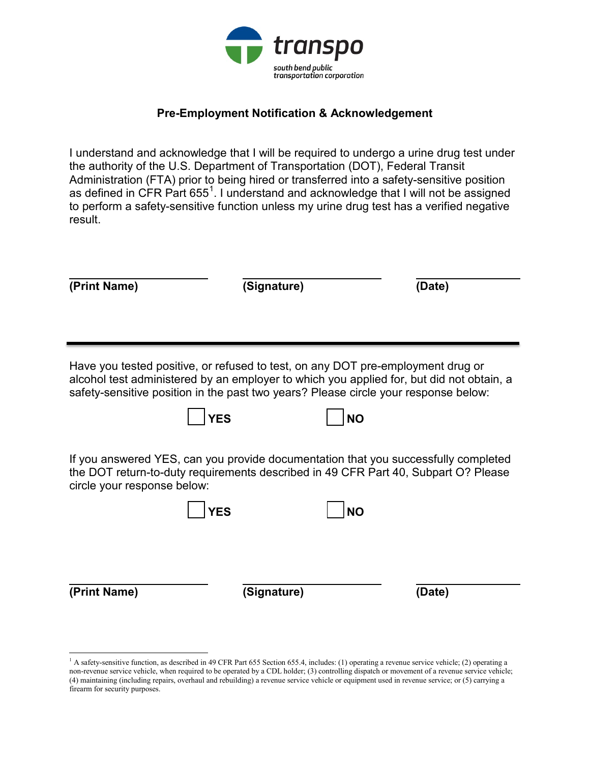

# **Pre-Employment Notification & Acknowledgement**

I understand and acknowledge that I will be required to undergo a urine drug test under the authority of the U.S. Department of Transportation (DOT), Federal Transit Administration (FTA) prior to being hired or transferred into a safety-sensitive position as defined in CFR Part 655 $^{\rm 1}$  $^{\rm 1}$  $^{\rm 1}$ . I understand and acknowledge that I will not be assigned to perform a safety-sensitive function unless my urine drug test has a verified negative result.

| (Print Name)                                                                                                                                                                                            |            | (Signature) | (Date)                                                                                   |  |
|---------------------------------------------------------------------------------------------------------------------------------------------------------------------------------------------------------|------------|-------------|------------------------------------------------------------------------------------------|--|
| Have you tested positive, or refused to test, on any DOT pre-employment drug or                                                                                                                         |            |             | alcohol test administered by an employer to which you applied for, but did not obtain, a |  |
| safety-sensitive position in the past two years? Please circle your response below:                                                                                                                     | <b>YES</b> | <b>NO</b>   |                                                                                          |  |
| If you answered YES, can you provide documentation that you successfully completed<br>the DOT return-to-duty requirements described in 49 CFR Part 40, Subpart O? Please<br>circle your response below: |            |             |                                                                                          |  |
|                                                                                                                                                                                                         | <b>YES</b> | <b>NO</b>   |                                                                                          |  |
| (Print Name)                                                                                                                                                                                            |            | (Signature) | (Date)                                                                                   |  |

l

<span id="page-6-0"></span><sup>&</sup>lt;sup>1</sup> A safety-sensitive function, as described in 49 CFR Part 655 Section 655.4, includes: (1) operating a revenue service vehicle; (2) operating a non-revenue service vehicle, when required to be operated by a CDL holder; (3) controlling dispatch or movement of a revenue service vehicle; (4) maintaining (including repairs, overhaul and rebuilding) a revenue service vehicle or equipment used in revenue service; or (5) carrying a firearm for security purposes.